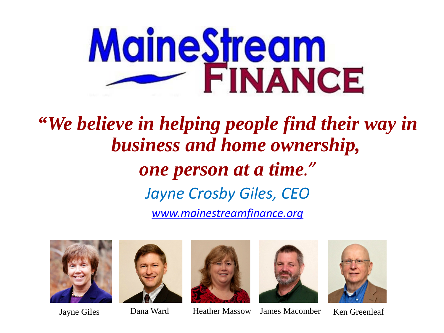

*"We believe in helping people find their way in business and home ownership, one person at a time." Jayne Crosby Giles, CEO [www.mainestreamfinance.org](http://www.mainestreamfinance.org/)*









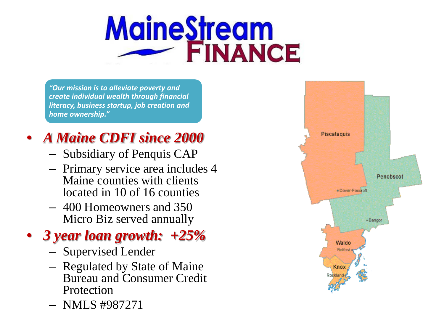## **MaineStream FINANCE**

*"Our mission is to alleviate poverty and create individual wealth through financial literacy, business startup, job creation and home ownership."*

#### • *A Maine CDFI since 2000*

- Subsidiary of Penquis CAP
- Primary service area includes 4 Maine counties with clients located in 10 of 16 counties
- 400 Homeowners and 350 Micro Biz served annually

#### • *3 year loan growth: +25%*

- Supervised Lender
- Regulated by State of Maine Bureau and Consumer Credit Protection
- NMLS #987271

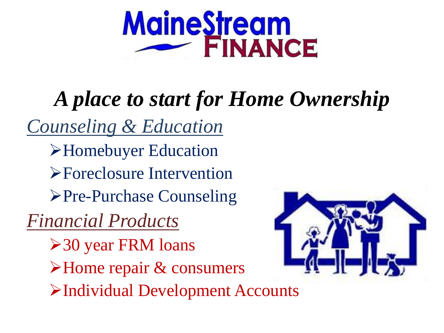

## *A place to start for Home Ownership*

*Counseling & Education* Homebuyer Education Foreclosure Intervention **≻Pre-Purchase Counseling** *Financial Products*

30 year FRM loans >Home repair & consumers Individual Development Accounts

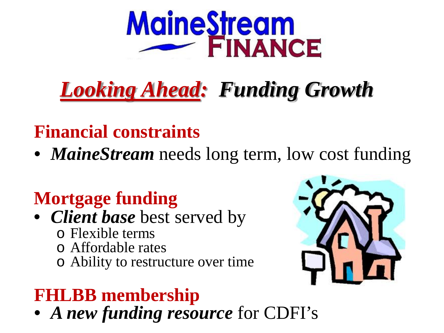

## *Looking Ahead: Funding Growth*

#### **Financial constraints**

• *MaineStream* needs long term, low cost funding

### **Mortgage funding**

- *Client base* best served by
	- o Flexible terms
	- o Affordable rates
	- o Ability to restructure over time

#### **FHLBB membership**

• *A new funding resource* for CDFI's

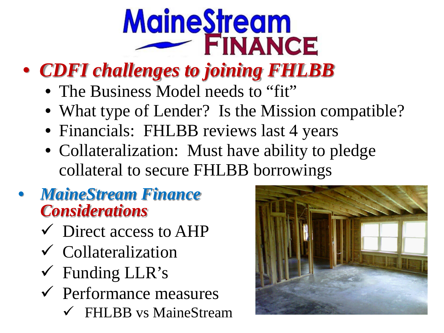# **MaineStream**

### • *CDFI challenges to joining FHLBB*

- The Business Model needs to "fit"
- What type of Lender? Is the Mission compatible?
- Financials: FHLBB reviews last 4 years
- Collateralization: Must have ability to pledge collateral to secure FHLBB borrowings
- *MaineStream Finance Considerations*
	- $\checkmark$  Direct access to AHP
	- Collateralization
	- Funding LLR's
	- $\checkmark$  Performance measures
		- FHLBB vs MaineStream